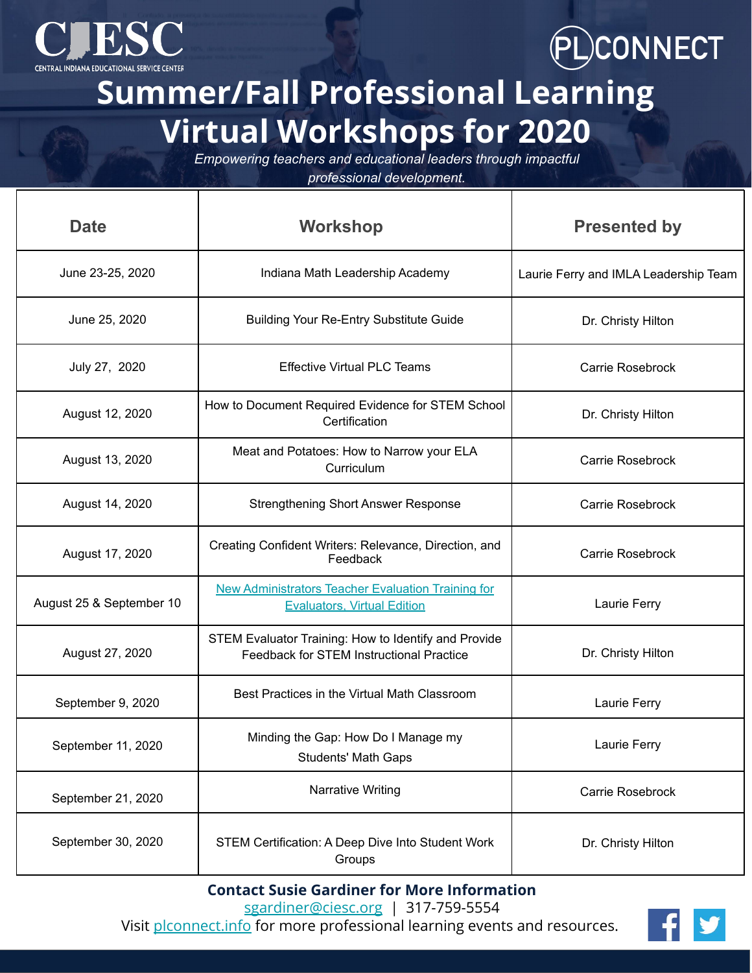



**Summer/Fall Professional Learning Virtual Workshops for 2020**

*Empowering teachers and educational leaders through impactful* 

*professional development.*

| <b>Date</b>              | <b>Workshop</b>                                                                                  | <b>Presented by</b>                   |
|--------------------------|--------------------------------------------------------------------------------------------------|---------------------------------------|
| June 23-25, 2020         | Indiana Math Leadership Academy                                                                  | Laurie Ferry and IMLA Leadership Team |
| June 25, 2020            | <b>Building Your Re-Entry Substitute Guide</b>                                                   | Dr. Christy Hilton                    |
| July 27, 2020            | <b>Effective Virtual PLC Teams</b>                                                               | Carrie Rosebrock                      |
| August 12, 2020          | How to Document Required Evidence for STEM School<br>Certification                               | Dr. Christy Hilton                    |
| August 13, 2020          | Meat and Potatoes: How to Narrow your ELA<br>Curriculum                                          | Carrie Rosebrock                      |
| August 14, 2020          | <b>Strengthening Short Answer Response</b>                                                       | Carrie Rosebrock                      |
| August 17, 2020          | Creating Confident Writers: Relevance, Direction, and<br>Feedback                                | Carrie Rosebrock                      |
| August 25 & September 10 | <b>New Administrators Teacher Evaluation Training for</b><br><b>Evaluators, Virtual Edition</b>  | Laurie Ferry                          |
| August 27, 2020          | STEM Evaluator Training: How to Identify and Provide<br>Feedback for STEM Instructional Practice | Dr. Christy Hilton                    |
| September 9, 2020        | Best Practices in the Virtual Math Classroom                                                     | Laurie Ferry                          |
| September 11, 2020       | Minding the Gap: How Do I Manage my<br><b>Students' Math Gaps</b>                                | Laurie Ferry                          |
| September 21, 2020       | Narrative Writing                                                                                | Carrie Rosebrock                      |
| September 30, 2020       | STEM Certification: A Deep Dive Into Student Work<br>Groups                                      | Dr. Christy Hilton                    |

**Contact Susie Gardiner for More Information**

[sgardiner@ciesc.org](mailto:sgardiner@ciesc.org) | 317-759-5554

Visit [plconnect.info](https://plconnect.ciesc.org/) for more professional learning events and resources.